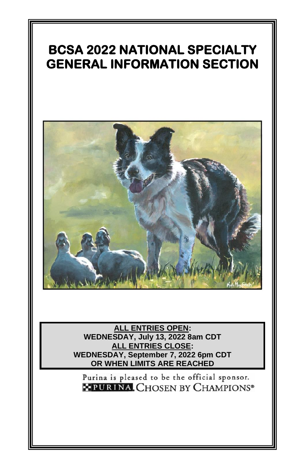# **BCSA 2022 NATIONAL SPECIALTY GENERAL INFORMATION SECTION**



**ALL ENTRIES OPEN: WEDNESDAY, July 13, 2022 8am CDT ALL ENTRIES CLOSE: WEDNESDAY, September 7, 2022 6pm CDT OR WHEN LIMITS ARE REACHED**

Purina is pleased to be the official sponsor. **\* PURINA, CHOSEN BY CHAMPIONS®**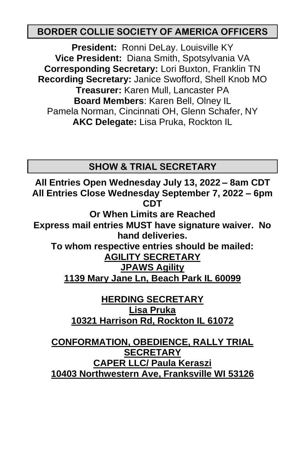#### **BORDER COLLIE SOCIETY OF AMERICA OFFICERS**

**President:** Ronni DeLay. Louisville KY **Vice President:** Diana Smith, Spotsylvania VA **Corresponding Secretary:** Lori Buxton, Franklin TN **Recording Secretary:** Janice Swofford, Shell Knob MO **Treasurer:** Karen Mull, Lancaster PA **Board Members**: Karen Bell, Olney IL Pamela Norman, Cincinnati OH, Glenn Schafer, NY **AKC Delegate:** Lisa Pruka, Rockton IL

**SHOW & TRIAL SECRETARY**

**All Entries Open Wednesday July 13, 2022 – 8am CDT All Entries Close Wednesday September 7, 2022 – 6pm CDT**

**Or When Limits are Reached Express mail entries MUST have signature waiver. No hand deliveries.**

**To whom respective entries should be mailed: AGILITY SECRETARY**

**JPAWS Agility**

**1139 Mary Jane Ln, Beach Park IL 60099**

**HERDING SECRETARY Lisa Pruka 10321 Harrison Rd, Rockton IL 61072**

**CONFORMATION, OBEDIENCE, RALLY TRIAL SECRETARY CAPER LLC/ Paula Keraszi 10403 Northwestern Ave, Franksville WI 53126**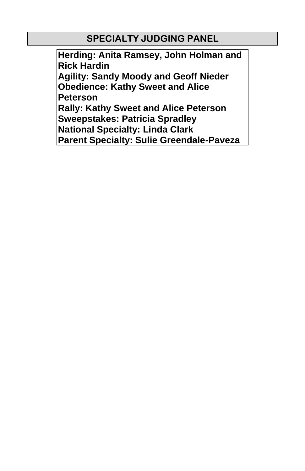#### **SPECIALTY JUDGING PANEL**

**Herding: Anita Ramsey, John Holman and Rick Hardin Agility: Sandy Moody and Geoff Nieder Obedience: Kathy Sweet and Alice Peterson Rally: Kathy Sweet and Alice Peterson Sweepstakes: Patricia Spradley National Specialty: Linda Clark Parent Specialty: Sulie Greendale-Paveza**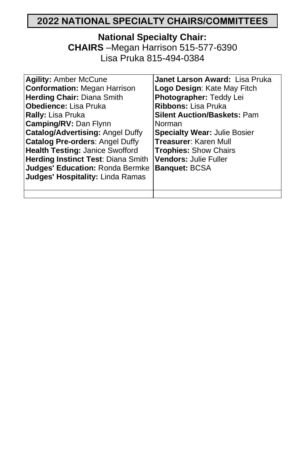## **2022 NATIONAL SPECIALTY CHAIRS/COMMITTEES**

#### **National Specialty Chair: CHAIRS** –Megan Harrison 515-577-6390

Lisa Pruka 815-494-0384

| <b>Agility: Amber McCune</b><br><b>Conformation: Megan Harrison</b> | Janet Larson Award: Lisa Pruka<br>Logo Design: Kate May Fitch |
|---------------------------------------------------------------------|---------------------------------------------------------------|
| <b>Herding Chair: Diana Smith</b>                                   | Photographer: Teddy Lei                                       |
| <b>Obedience:</b> Lisa Pruka                                        | Ribbons: Lisa Pruka                                           |
| <b>Rally: Lisa Pruka</b>                                            | <b>Silent Auction/Baskets: Pam</b>                            |
| <b>Camping/RV: Dan Flynn</b>                                        | Norman                                                        |
| <b>Catalog/Advertising: Angel Duffy</b>                             | <b>Specialty Wear: Julie Bosier</b>                           |
| <b>Catalog Pre-orders: Angel Duffy</b>                              | <b>Treasurer: Karen Mull</b>                                  |
| <b>Health Testing: Janice Swofford</b>                              | <b>Trophies: Show Chairs</b>                                  |
| <b>Herding Instinct Test: Diana Smith</b>                           | <b>Vendors: Julie Fuller</b>                                  |
| Judges' Education: Ronda Bermke                                     | <b>Banquet: BCSA</b>                                          |
| Judges' Hospitality: Linda Ramas                                    |                                                               |
|                                                                     |                                                               |
|                                                                     |                                                               |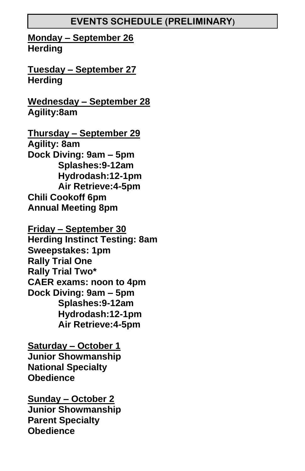#### **EVENTS SCHEDULE (PRELIMINARY)**

**Monday – September 26 Herding**

**Tuesday – September 27 Herding**

**Wednesday – September 28 Agility:8am**

**Thursday – September 29 Agility: 8am Dock Diving: 9am – 5pm Splashes:9-12am Hydrodash:12-1pm Air Retrieve:4-5pm Chili Cookoff 6pm Annual Meeting 8pm**

**Friday – September 30 Herding Instinct Testing: 8am Sweepstakes: 1pm Rally Trial One Rally Trial Two\* CAER exams: noon to 4pm Dock Diving: 9am – 5pm Splashes:9-12am Hydrodash:12-1pm Air Retrieve:4-5pm**

**Saturday – October 1 Junior Showmanship National Specialty Obedience**

**Sunday – October 2 Junior Showmanship Parent Specialty Obedience**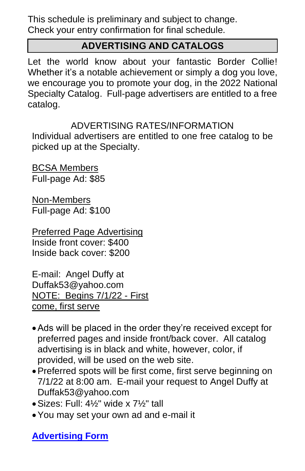This schedule is preliminary and subject to change. Check your entry confirmation for final schedule.

## **ADVERTISING AND CATALOGS**

Let the world know about your fantastic Border Collie! Whether it's a notable achievement or simply a dog you love, we encourage you to promote your dog, in the 2022 National Specialty Catalog. Full-page advertisers are entitled to a free catalog.

#### ADVERTISING RATES/INFORMATION

Individual advertisers are entitled to one free catalog to be picked up at the Specialty.

BCSA Members Full-page Ad: \$85

Non-Members Full-page Ad: \$100

Preferred Page Advertising Inside front cover: \$400 Inside back cover: \$200

E-mail: Angel Duffy at Duffak53@yahoo.com NOTE: Begins 7/1/22 - First come, first serve

- •Ads will be placed in the order they're received except for preferred pages and inside front/back cover. All catalog advertising is in black and white, however, color, if provided, will be used on the web site.
- •Preferred spots will be first come, first serve beginning on 7/1/22 at 8:00 am. E-mail your request to Angel Duffy at Duffak53@yahoo.com
- •Sizes: Full: 4½" wide x 7½" tall
- •You may set your own ad and e-mail it

**[Advertising Form](https://docs.google.com/forms/d/e/1FAIpQLSdqTa2OZcq-ZTJ6bSwGc_diTagDiBznbOzlpx49gylsYoKfJA/viewform?usp=sf_link)**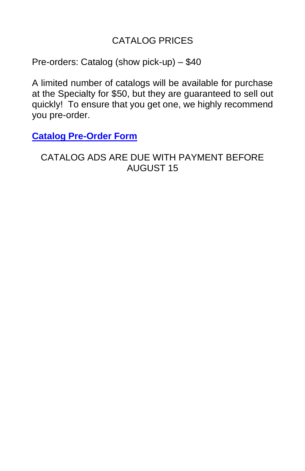#### CATALOG PRICES

Pre-orders: Catalog (show pick-up) – \$40

A limited number of catalogs will be available for purchase at the Specialty for \$50, but they are guaranteed to sell out quickly! To ensure that you get one, we highly recommend you pre-order.

**[Catalog Pre-Order Form](https://docs.google.com/forms/d/e/1FAIpQLSfjiddlXvPCbidlfl71Qyz2klBeJZsI6Z6x3hEf1TbVKj17yw/viewform?usp=sf_link)**

CATALOG ADS ARE DUE WITH PAYMENT BEFORE AUGUST 15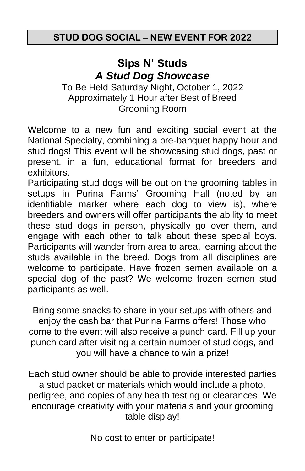## **Sips N' Studs** *A Stud Dog Showcase*

To Be Held Saturday Night, October 1, 2022 Approximately 1 Hour after Best of Breed Grooming Room

Welcome to a new fun and exciting social event at the National Specialty, combining a pre-banquet happy hour and stud dogs! This event will be showcasing stud dogs, past or present, in a fun, educational format for breeders and exhibitors.

Participating stud dogs will be out on the grooming tables in setups in Purina Farms' Grooming Hall (noted by an identifiable marker where each dog to view is), where breeders and owners will offer participants the ability to meet these stud dogs in person, physically go over them, and engage with each other to talk about these special boys. Participants will wander from area to area, learning about the studs available in the breed. Dogs from all disciplines are welcome to participate. Have frozen semen available on a special dog of the past? We welcome frozen semen stud participants as well.

Bring some snacks to share in your setups with others and enjoy the cash bar that Purina Farms offers! Those who come to the event will also receive a punch card. Fill up your punch card after visiting a certain number of stud dogs, and you will have a chance to win a prize!

Each stud owner should be able to provide interested parties a stud packet or materials which would include a photo, pedigree, and copies of any health testing or clearances. We encourage creativity with your materials and your grooming table display!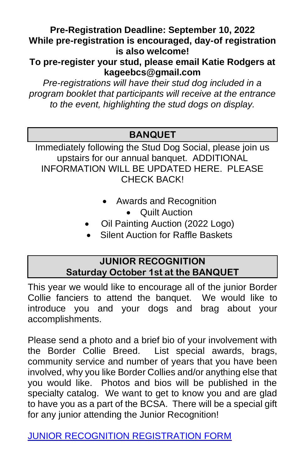#### **Pre-Registration Deadline: September 10, 2022 While pre-registration is encouraged, day-of registration is also welcome!**

**To pre-register your stud, please email Katie Rodgers at kageebcs@gmail.com**

*Pre-registrations will have their stud dog included in a program booklet that participants will receive at the entrance to the event, highlighting the stud dogs on display.*

## **BANQUET**

Immediately following the Stud Dog Social, please join us upstairs for our annual banquet. ADDITIONAL INFORMATION WILL BE UPDATED HERE. PLEASE CHECK BACK!

- Awards and Recognition
	- Quilt Auction
- Oil Painting Auction (2022 Logo)
- Silent Auction for Raffle Baskets

#### **JUNIOR RECOGNITION Saturday October 1st at the BANQUET**

This year we would like to encourage all of the junior Border Collie fanciers to attend the banquet. We would like to introduce you and your dogs and brag about your accomplishments.

Please send a photo and a brief bio of your involvement with the Border Collie Breed. List special awards, brags, community service and number of years that you have been involved, why you like Border Collies and/or anything else that you would like. Photos and bios will be published in the specialty catalog. We want to get to know you and are glad to have you as a part of the BCSA. There will be a special gift for any junior attending the Junior Recognition!

[JUNIOR RECOGNITION REGISTRATION FORM](https://docs.google.com/forms/d/e/1FAIpQLScMw5pPVIVmatBcehTiJpbJDTT0cPG7H1ZpwbMozIUHdLBfzA/viewform?usp=sf_link)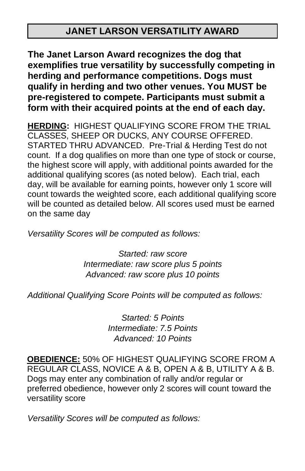## **JANET LARSON VERSATILITY AWARD**

**The Janet Larson Award recognizes the dog that exemplifies true versatility by successfully competing in herding and performance competitions. Dogs must qualify in herding and two other venues. You MUST be pre-registered to compete. Participants must submit a form with their acquired points at the end of each day.**

**HERDING:**HIGHEST QUALIFYING SCORE FROM THE TRIAL CLASSES, SHEEP OR DUCKS, ANY COURSE OFFERED. STARTED THRU ADVANCED. Pre-Trial & Herding Test do not count. If a dog qualifies on more than one type of stock or course, the highest score will apply, with additional points awarded for the additional qualifying scores (as noted below). Each trial, each day, will be available for earning points, however only 1 score will count towards the weighted score, each additional qualifying score will be counted as detailed below. All scores used must be earned on the same day

*Versatility Scores will be computed as follows:* 

*Started: raw score Intermediate: raw score plus 5 points Advanced: raw score plus 10 points* 

*Additional Qualifying Score Points will be computed as follows:* 

*Started: 5 Points Intermediate: 7.5 Points Advanced: 10 Points* 

**OBEDIENCE:** 50% OF HIGHEST QUALIFYING SCORE FROM A REGULAR CLASS, NOVICE A & B, OPEN A & B, UTILITY A & B. Dogs may enter any combination of rally and/or regular or preferred obedience, however only 2 scores will count toward the versatility score

*Versatility Scores will be computed as follows:*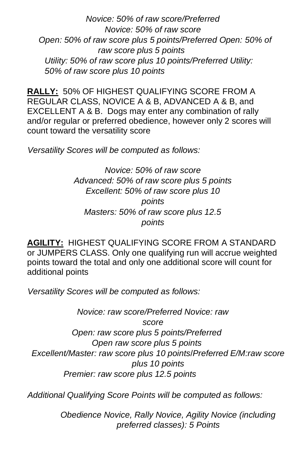*Novice: 50% of raw score/Preferred Novice: 50% of raw score Open: 50% of raw score plus 5 points/Preferred Open: 50% of raw score plus 5 points Utility: 50% of raw score plus 10 points/Preferred Utility: 50% of raw score plus 10 points*

**RALLY:** 50% OF HIGHEST QUALIFYING SCORE FROM A REGULAR CLASS, NOVICE A & B, ADVANCED A & B, and EXCELLENT A & B. Dogs may enter any combination of rally and/or regular or preferred obedience, however only 2 scores will count toward the versatility score

*Versatility Scores will be computed as follows:* 

*Novice: 50% of raw score Advanced: 50% of raw score plus 5 points Excellent: 50% of raw score plus 10 points Masters: 50% of raw score plus 12.5 points*

**AGILITY:** HIGHEST QUALIFYING SCORE FROM A STANDARD or JUMPERS CLASS. Only one qualifying run will accrue weighted points toward the total and only one additional score will count for additional points

*Versatility Scores will be computed as follows:* 

*Novice: raw score/Preferred Novice: raw score Open: raw score plus 5 points/Preferred Open raw score plus 5 points Excellent/Master: raw score plus 10 points*/*Preferred E/M:raw score plus 10 points Premier: raw score plus 12.5 points*

*Additional Qualifying Score Points will be computed as follows:* 

*Obedience Novice, Rally Novice, Agility Novice (including preferred classes): 5 Points*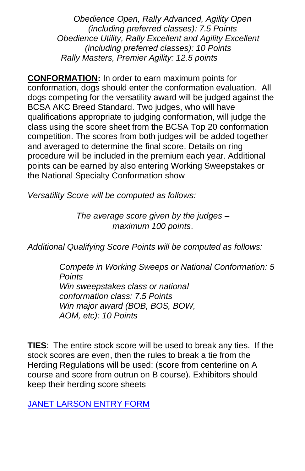*Obedience Open, Rally Advanced, Agility Open (including preferred classes): 7.5 Points Obedience Utility, Rally Excellent and Agility Excellent (including preferred classes): 10 Points Rally Masters, Premier Agility: 12.5 points*

**CONFORMATION:** In order to earn maximum points for conformation, dogs should enter the conformation evaluation. All dogs competing for the versatility award will be judged against the BCSA AKC Breed Standard. Two judges, who will have qualifications appropriate to judging conformation, will judge the class using the score sheet from the BCSA Top 20 conformation competition. The scores from both judges will be added together and averaged to determine the final score. Details on ring procedure will be included in the premium each year. Additional points can be earned by also entering Working Sweepstakes or the National Specialty Conformation show

*Versatility Score will be computed as follows:* 

*The average score given by the judges – maximum 100 points*.

*Additional Qualifying Score Points will be computed as follows:* 

*Compete in Working Sweeps or National Conformation: 5 Points Win sweepstakes class or national conformation class: 7.5 Points Win major award (BOB, BOS, BOW, AOM, etc): 10 Points*

**TIES**:The entire stock score will be used to break any ties. If the stock scores are even, then the rules to break a tie from the Herding Regulations will be used: (score from centerline on A course and score from outrun on B course). Exhibitors should keep their herding score sheets

[JANET LARSON ENTRY FORM](https://docs.google.com/forms/d/e/1FAIpQLSfaz4J1Sn5QrH1z6TpnBNdY3niBycQ9btDSOaeFE9N1HS2zNg/viewform?usp=sf_link)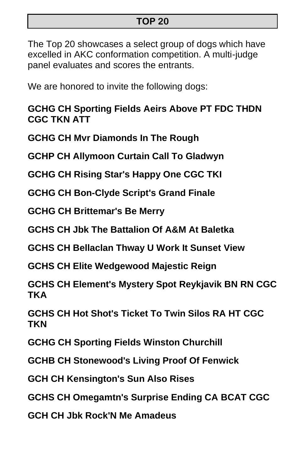#### **TOP 20**

The Top 20 showcases a select group of dogs which have excelled in AKC conformation competition. A multi-judge panel evaluates and scores the entrants.

We are honored to invite the following dogs:

**GCHG CH Sporting Fields Aeirs Above PT FDC THDN CGC TKN ATT**

**GCHG CH Mvr Diamonds In The Rough**

**GCHP CH Allymoon Curtain Call To Gladwyn**

**GCHG CH Rising Star's Happy One CGC TKI**

**GCHG CH Bon-Clyde Script's Grand Finale**

**GCHG CH Brittemar's Be Merry**

**GCHS CH Jbk The Battalion Of A&M At Baletka**

**GCHS CH Bellaclan Thway U Work It Sunset View**

**GCHS CH Elite Wedgewood Majestic Reign**

**GCHS CH Element's Mystery Spot Reykjavik BN RN CGC TKA**

**GCHS CH Hot Shot's Ticket To Twin Silos RA HT CGC TKN**

**GCHG CH Sporting Fields Winston Churchill**

**GCHB CH Stonewood's Living Proof Of Fenwick**

**GCH CH Kensington's Sun Also Rises**

**GCHS CH Omegamtn's Surprise Ending CA BCAT CGC**

**GCH CH Jbk Rock'N Me Amadeus**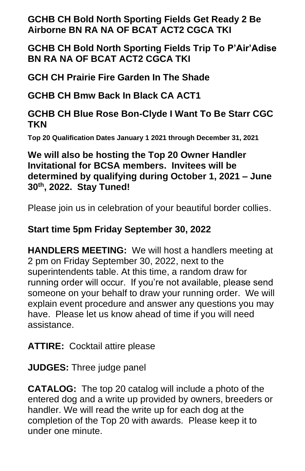**GCHB CH Bold North Sporting Fields Get Ready 2 Be Airborne BN RA NA OF BCAT ACT2 CGCA TKI**

**GCHB CH Bold North Sporting Fields Trip To P'Air'Adise BN RA NA OF BCAT ACT2 CGCA TKI**

**GCH CH Prairie Fire Garden In The Shade**

**GCHB CH Bmw Back In Black CA ACT1**

**GCHB CH Blue Rose Bon-Clyde I Want To Be Starr CGC TKN**

**Top 20 Qualification Dates January 1 2021 through December 31, 2021**

**We will also be hosting the Top 20 Owner Handler Invitational for BCSA members. Invitees will be determined by qualifying during October 1, 2021 – June 30th, 2022. Stay Tuned!**

Please join us in celebration of your beautiful border collies.

## **Start time 5pm Friday September 30, 2022**

**HANDLERS MEETING:** We will host a handlers meeting at 2 pm on Friday September 30, 2022, next to the superintendents table. At this time, a random draw for running order will occur. If you're not available, please send someone on your behalf to draw your running order. We will explain event procedure and answer any questions you may have. Please let us know ahead of time if you will need assistance.

**ATTIRE:** Cocktail attire please

**JUDGES:** Three judge panel

**CATALOG:** The top 20 catalog will include a photo of the entered dog and a write up provided by owners, breeders or handler. We will read the write up for each dog at the completion of the Top 20 with awards. Please keep it to under one minute.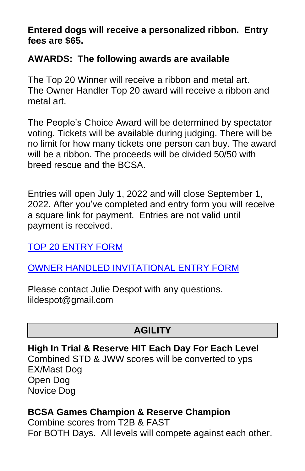**Entered dogs will receive a personalized ribbon. Entry fees are \$65.** 

#### **AWARDS: The following awards are available**

The Top 20 Winner will receive a ribbon and metal art. The Owner Handler Top 20 award will receive a ribbon and metal art.

The People's Choice Award will be determined by spectator voting. Tickets will be available during judging. There will be no limit for how many tickets one person can buy. The award will be a ribbon. The proceeds will be divided 50/50 with breed rescue and the BCSA.

Entries will open July 1, 2022 and will close September 1, 2022. After you've completed and entry form you will receive a square link for payment. Entries are not valid until payment is received.

[TOP 20 ENTRY FORM](https://docs.google.com/forms/d/e/1FAIpQLSdkjU2RwOVO74qL97zhYZhjvPqViJ0LzOAAbsAuOphSbE8bIQ/viewform?usp=sf_link)

## [OWNER HANDLED INVITATIONAL ENTRY FORM](https://docs.google.com/forms/d/e/1FAIpQLSetYTZa4L0AhTM1WngYcIi1-GTEUfgqQ1oFBKeg-fxzeuO8uw/viewform?usp=sf_link)

Please contact Julie Despot with any questions. lildespot@gmail.com

## **AGILITY**

**High In Trial & Reserve HIT Each Day For Each Level** Combined STD & JWW scores will be converted to yps EX/Mast Dog Open Dog Novice Dog

## **BCSA Games Champion & Reserve Champion**

Combine scores from T2B & FAST For BOTH Days. All levels will compete against each other.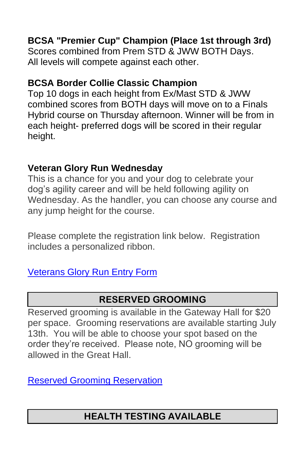## **BCSA "Premier Cup" Champion (Place 1st through 3rd)**

Scores combined from Prem STD & JWW BOTH Days. All levels will compete against each other.

#### **BCSA Border Collie Classic Champion**

Top 10 dogs in each height from Ex/Mast STD & JWW combined scores from BOTH days will move on to a Finals Hybrid course on Thursday afternoon. Winner will be from in each height- preferred dogs will be scored in their regular height.

#### **Veteran Glory Run Wednesday**

This is a chance for you and your dog to celebrate your dog's agility career and will be held following agility on Wednesday. As the handler, you can choose any course and any jump height for the course.

Please complete the registration link below. Registration includes a personalized ribbon.

### [Veterans Glory Run Entry Form](https://docs.google.com/forms/d/e/1FAIpQLScrZL_GeQAb3OVcK0uYEBEhcDDygUEcomqOZtFJ3upDyVrEfw/viewform?usp=sf_link)

## **RESERVED GROOMING**

Reserved grooming is available in the Gateway Hall for \$20 per space. Grooming reservations are available starting July 13th. You will be able to choose your spot based on the order they're received. Please note, NO grooming will be allowed in the Great Hall.

[Reserved Grooming Reservation](https://docs.google.com/forms/d/e/1FAIpQLSdPiMuHcpDyeD-JG-RLwGTKBN-U6-0RwjV5fXLeQcnicTZ5WA/viewform?usp=sf_link)

## **HEALTH TESTING AVAILABLE**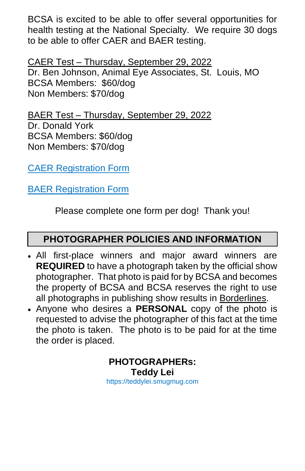BCSA is excited to be able to offer several opportunities for health testing at the National Specialty. We require 30 dogs to be able to offer CAER and BAER testing.

CAER Test – Thursday, September 29, 2022 Dr. Ben Johnson, Animal Eye Associates, St. Louis, MO BCSA Members: \$60/dog Non Members: \$70/dog

BAER Test – Thursday, September 29, 2022 Dr. Donald York BCSA Members: \$60/dog Non Members: \$70/dog

[CAER Registration Form](https://docs.google.com/forms/d/e/1FAIpQLSeE1FVPsyNjPM2rIqnu5VrXI8RukIN8WQbv-4W6zXfxqAdVHA/viewform?usp=sf_link)

[BAER Registration Form](https://docs.google.com/forms/d/e/1FAIpQLSfbFGrv2vesBSUeZzVgIocKNujdHwErOp6axyf60iNSJIxRtQ/viewform?usp=sf_link)

Please complete one form per dog! Thank you!

## **PHOTOGRAPHER POLICIES AND INFORMATION**

- All first-place winners and major award winners are **REQUIRED** to have a photograph taken by the official show photographer. That photo is paid for by BCSA and becomes the property of BCSA and BCSA reserves the right to use all photographs in publishing show results in Borderlines.
- Anyone who desires a **PERSONAL** copy of the photo is requested to advise the photographer of this fact at the time the photo is taken. The photo is to be paid for at the time the order is placed.

**PHOTOGRAPHERs: Teddy Lei** https://teddylei.smugmug.com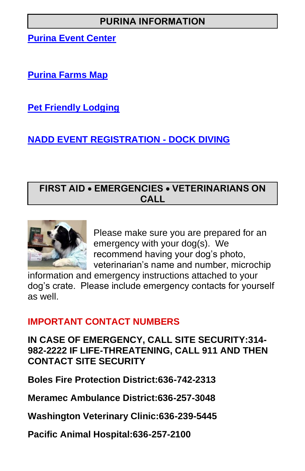## **PURINA INFORMATION**

**[Purina Event Center](https://www.purina.com/about-purina/purina-farms/purina-event-center)**

**[Purina Farms Map](https://www.purina.com/sites/g/files/auxxlc196/files/2021-02/PF676I-property-map.pdf)**

**[Pet Friendly Lodging](https://www.purina.com/sites/g/files/auxxlc196/files/2021-12/PF%20160J%20LODGING.pdf)**

## **[NADD EVENT REGISTRATION -](https://northamericadivingdogs.com/Event/eventList) DOCK DIVING**

### **FIRST AID** • **EMERGENCIES** • **VETERINARIANS ON CALL**



Please make sure you are prepared for an emergency with your dog(s). We recommend having your dog's photo, veterinarian's name and number, microchip

information and emergency instructions attached to your dog's crate. Please include emergency contacts for yourself as well.

### **IMPORTANT CONTACT NUMBERS**

**IN CASE OF EMERGENCY, CALL SITE SECURITY:314- 982-2222 IF LIFE-THREATENING, CALL 911 AND THEN CONTACT SITE SECURITY** 

**Boles Fire Protection District:636-742-2313** 

**Meramec Ambulance District:636-257-3048** 

**Washington Veterinary Clinic:636-239-5445** 

**Pacific Animal Hospital:636-257-2100**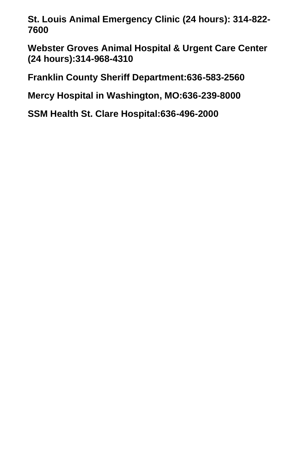**St. Louis Animal Emergency Clinic (24 hours): 314-822- 7600** 

**Webster Groves Animal Hospital & Urgent Care Center (24 hours):314-968-4310** 

**Franklin County Sheriff Department:636-583-2560** 

**Mercy Hospital in Washington, MO:636-239-8000** 

**SSM Health St. Clare Hospital:636-496-2000**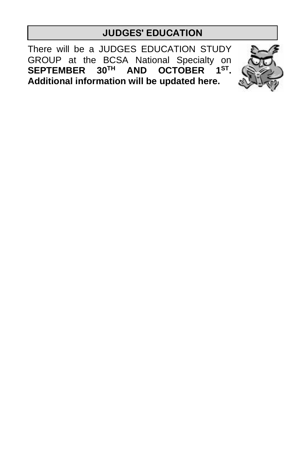### **JUDGES' EDUCATION**

There will be a JUDGES EDUCATION STUDY GROUP at the BCSA National Specialty on **SEPTEMBER 30TH AND OCTOBER 1ST . Additional information will be updated here.** 

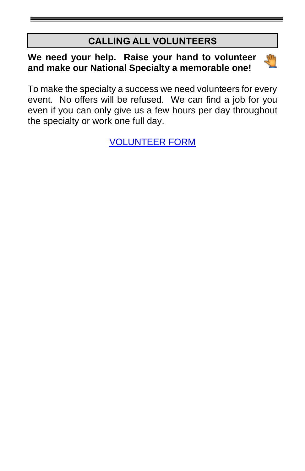## **CALLING ALL VOLUNTEERS**

#### **We need your help. Raise your hand to volunteer and make our National Specialty a memorable one!**



[VOLUNTEER FORM](https://docs.google.com/forms/d/e/1FAIpQLSclAo-kbZLdrgJc9dye7299z9SmSiR921YRczDOF1VtQSP09g/viewform?usp=sf_link)